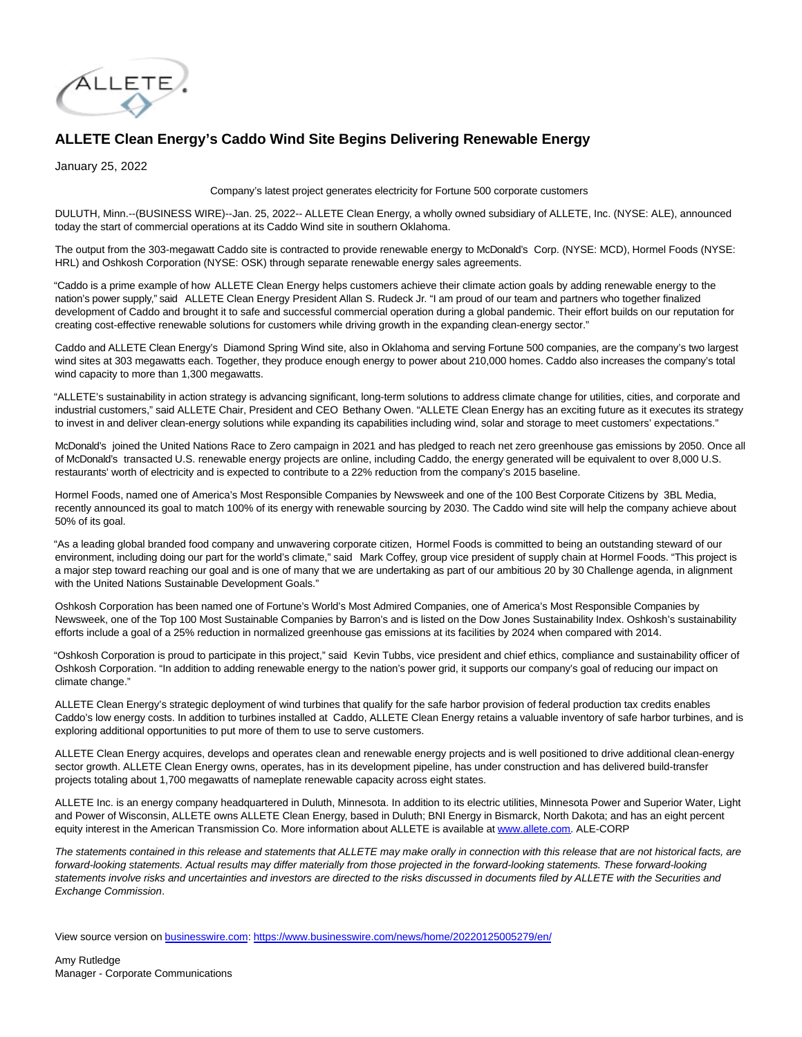

## **ALLETE Clean Energy's Caddo Wind Site Begins Delivering Renewable Energy**

January 25, 2022

Company's latest project generates electricity for Fortune 500 corporate customers

DULUTH, Minn.--(BUSINESS WIRE)--Jan. 25, 2022-- ALLETE Clean Energy, a wholly owned subsidiary of ALLETE, Inc. (NYSE: ALE), announced today the start of commercial operations at its Caddo Wind site in southern Oklahoma.

The output from the 303-megawatt Caddo site is contracted to provide renewable energy to McDonald's Corp. (NYSE: MCD), Hormel Foods (NYSE: HRL) and Oshkosh Corporation (NYSE: OSK) through separate renewable energy sales agreements.

"Caddo is a prime example of how ALLETE Clean Energy helps customers achieve their climate action goals by adding renewable energy to the nation's power supply," said ALLETE Clean Energy President Allan S. Rudeck Jr. "I am proud of our team and partners who together finalized development of Caddo and brought it to safe and successful commercial operation during a global pandemic. Their effort builds on our reputation for creating cost-effective renewable solutions for customers while driving growth in the expanding clean-energy sector."

Caddo and ALLETE Clean Energy's Diamond Spring Wind site, also in Oklahoma and serving Fortune 500 companies, are the company's two largest wind sites at 303 megawatts each. Together, they produce enough energy to power about 210,000 homes. Caddo also increases the company's total wind capacity to more than 1,300 megawatts.

"ALLETE's sustainability in action strategy is advancing significant, long-term solutions to address climate change for utilities, cities, and corporate and industrial customers," said ALLETE Chair, President and CEO Bethany Owen. "ALLETE Clean Energy has an exciting future as it executes its strategy to invest in and deliver clean-energy solutions while expanding its capabilities including wind, solar and storage to meet customers' expectations."

McDonald's joined the United Nations Race to Zero campaign in 2021 and has pledged to reach net zero greenhouse gas emissions by 2050. Once all of McDonald's transacted U.S. renewable energy projects are online, including Caddo, the energy generated will be equivalent to over 8,000 U.S. restaurants' worth of electricity and is expected to contribute to a 22% reduction from the company's 2015 baseline.

Hormel Foods, named one of America's Most Responsible Companies by Newsweek and one of the 100 Best Corporate Citizens by 3BL Media, recently announced its goal to match 100% of its energy with renewable sourcing by 2030. The Caddo wind site will help the company achieve about 50% of its goal.

"As a leading global branded food company and unwavering corporate citizen, Hormel Foods is committed to being an outstanding steward of our environment, including doing our part for the world's climate," said Mark Coffey, group vice president of supply chain at Hormel Foods. "This project is a major step toward reaching our goal and is one of many that we are undertaking as part of our ambitious 20 by 30 Challenge agenda, in alignment with the United Nations Sustainable Development Goals."

Oshkosh Corporation has been named one of Fortune's World's Most Admired Companies, one of America's Most Responsible Companies by Newsweek, one of the Top 100 Most Sustainable Companies by Barron's and is listed on the Dow Jones Sustainability Index. Oshkosh's sustainability efforts include a goal of a 25% reduction in normalized greenhouse gas emissions at its facilities by 2024 when compared with 2014.

"Oshkosh Corporation is proud to participate in this project," said Kevin Tubbs, vice president and chief ethics, compliance and sustainability officer of Oshkosh Corporation. "In addition to adding renewable energy to the nation's power grid, it supports our company's goal of reducing our impact on climate change."

ALLETE Clean Energy's strategic deployment of wind turbines that qualify for the safe harbor provision of federal production tax credits enables Caddo's low energy costs. In addition to turbines installed at Caddo, ALLETE Clean Energy retains a valuable inventory of safe harbor turbines, and is exploring additional opportunities to put more of them to use to serve customers.

ALLETE Clean Energy acquires, develops and operates clean and renewable energy projects and is well positioned to drive additional clean-energy sector growth. ALLETE Clean Energy owns, operates, has in its development pipeline, has under construction and has delivered build-transfer projects totaling about 1,700 megawatts of nameplate renewable capacity across eight states.

ALLETE Inc. is an energy company headquartered in Duluth, Minnesota. In addition to its electric utilities, Minnesota Power and Superior Water, Light and Power of Wisconsin, ALLETE owns ALLETE Clean Energy, based in Duluth; BNI Energy in Bismarck, North Dakota; and has an eight percent equity interest in the American Transmission Co. More information about ALLETE is available a[t www.allete.com.](https://cts.businesswire.com/ct/CT?id=smartlink&url=http%3A%2F%2Fwww.allete.com&esheet=52567864&newsitemid=20220125005279&lan=en-US&anchor=www.allete.com&index=1&md5=f39babb964e9ebc02956d8e5824e69c0) ALE-CORP

The statements contained in this release and statements that ALLETE may make orally in connection with this release that are not historical facts, are forward-looking statements. Actual results may differ materially from those projected in the forward-looking statements. These forward-looking statements involve risks and uncertainties and investors are directed to the risks discussed in documents filed by ALLETE with the Securities and Exchange Commission.

View source version on [businesswire.com:](http://businesswire.com/)<https://www.businesswire.com/news/home/20220125005279/en/>